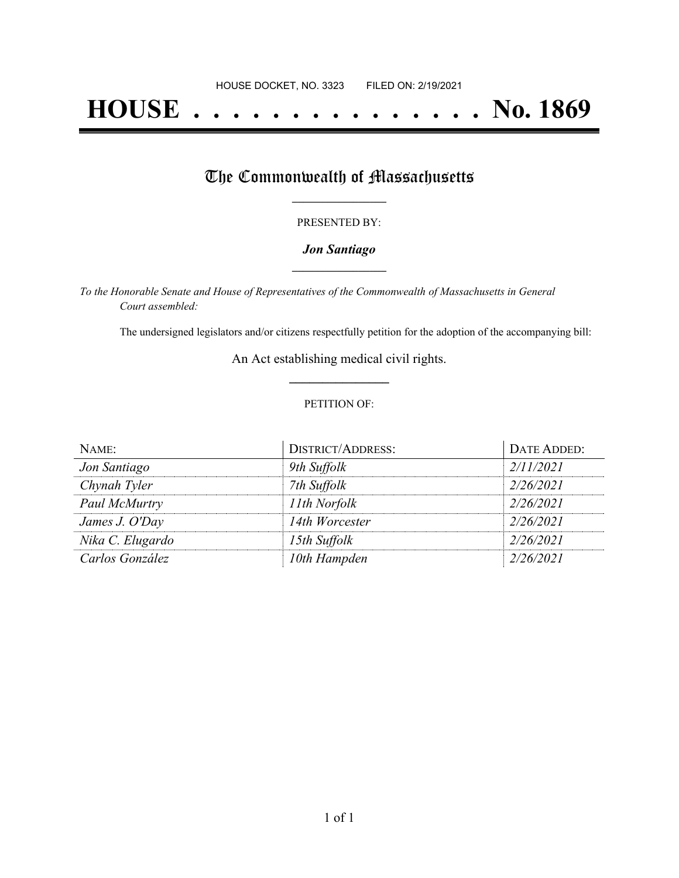# **HOUSE . . . . . . . . . . . . . . . No. 1869**

## The Commonwealth of Massachusetts

#### PRESENTED BY:

#### *Jon Santiago* **\_\_\_\_\_\_\_\_\_\_\_\_\_\_\_\_\_**

*To the Honorable Senate and House of Representatives of the Commonwealth of Massachusetts in General Court assembled:*

The undersigned legislators and/or citizens respectfully petition for the adoption of the accompanying bill:

An Act establishing medical civil rights. **\_\_\_\_\_\_\_\_\_\_\_\_\_\_\_**

#### PETITION OF:

| NAME:            | <b>DISTRICT/ADDRESS:</b> | DATE ADDED: |
|------------------|--------------------------|-------------|
| Jon Santiago     | 9th Suffolk              | 2/11/2021   |
| Chynah Tyler     | 7th Suffolk              | 2/26/2021   |
| Paul McMurtry    | 11th Norfolk             | 2/26/2021   |
| James J. O'Day   | 14th Worcester           | 2/26/2021   |
| Nika C. Elugardo | 15th Suffolk             | 2/26/2021   |
| Carlos González  | 10th Hampden             | 2/26/2021   |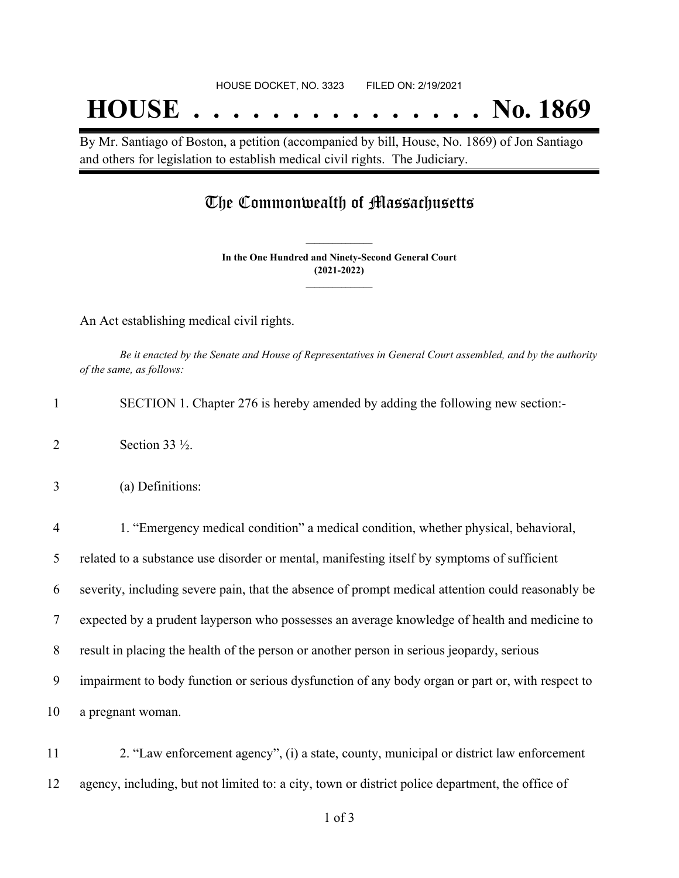## **HOUSE . . . . . . . . . . . . . . . No. 1869**

By Mr. Santiago of Boston, a petition (accompanied by bill, House, No. 1869) of Jon Santiago and others for legislation to establish medical civil rights. The Judiciary.

### The Commonwealth of Massachusetts

**In the One Hundred and Ninety-Second General Court (2021-2022) \_\_\_\_\_\_\_\_\_\_\_\_\_\_\_**

**\_\_\_\_\_\_\_\_\_\_\_\_\_\_\_**

An Act establishing medical civil rights.

Be it enacted by the Senate and House of Representatives in General Court assembled, and by the authority *of the same, as follows:*

|  | SECTION 1. Chapter 276 is hereby amended by adding the following new section: |  |  |
|--|-------------------------------------------------------------------------------|--|--|
|  |                                                                               |  |  |

- 2 Section 33  $\frac{1}{2}$ .
- 3 (a) Definitions:

 1. "Emergency medical condition" a medical condition, whether physical, behavioral, related to a substance use disorder or mental, manifesting itself by symptoms of sufficient severity, including severe pain, that the absence of prompt medical attention could reasonably be expected by a prudent layperson who possesses an average knowledge of health and medicine to result in placing the health of the person or another person in serious jeopardy, serious impairment to body function or serious dysfunction of any body organ or part or, with respect to a pregnant woman.

11 2. "Law enforcement agency", (i) a state, county, municipal or district law enforcement 12 agency, including, but not limited to: a city, town or district police department, the office of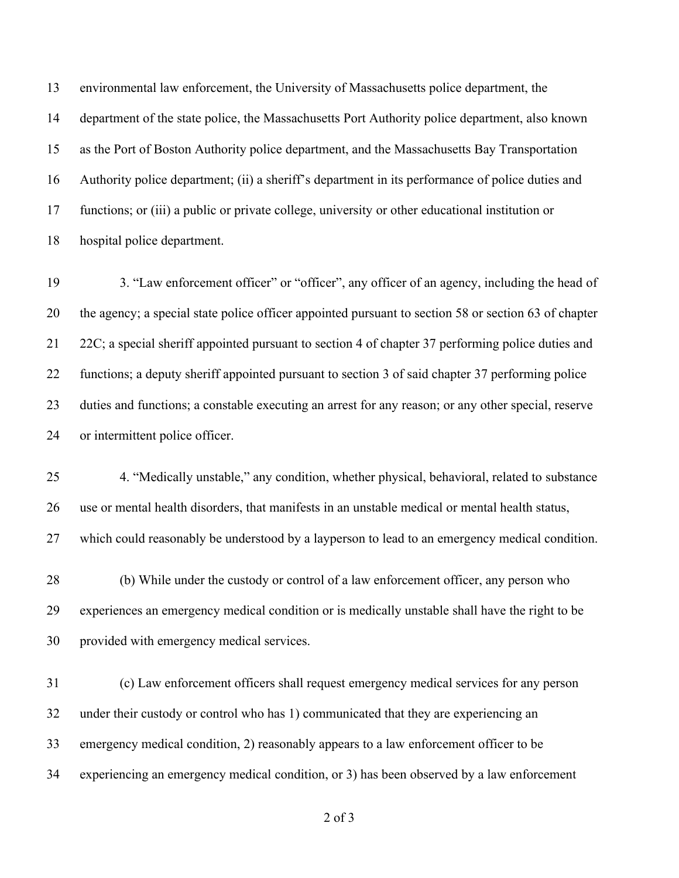environmental law enforcement, the University of Massachusetts police department, the department of the state police, the Massachusetts Port Authority police department, also known as the Port of Boston Authority police department, and the Massachusetts Bay Transportation Authority police department; (ii) a sheriff's department in its performance of police duties and functions; or (iii) a public or private college, university or other educational institution or hospital police department.

 3. "Law enforcement officer" or "officer", any officer of an agency, including the head of the agency; a special state police officer appointed pursuant to section 58 or section 63 of chapter 22C; a special sheriff appointed pursuant to section 4 of chapter 37 performing police duties and 22 functions; a deputy sheriff appointed pursuant to section 3 of said chapter 37 performing police duties and functions; a constable executing an arrest for any reason; or any other special, reserve or intermittent police officer.

 4. "Medically unstable," any condition, whether physical, behavioral, related to substance use or mental health disorders, that manifests in an unstable medical or mental health status, which could reasonably be understood by a layperson to lead to an emergency medical condition.

 (b) While under the custody or control of a law enforcement officer, any person who experiences an emergency medical condition or is medically unstable shall have the right to be provided with emergency medical services.

 (c) Law enforcement officers shall request emergency medical services for any person under their custody or control who has 1) communicated that they are experiencing an emergency medical condition, 2) reasonably appears to a law enforcement officer to be experiencing an emergency medical condition, or 3) has been observed by a law enforcement

of 3